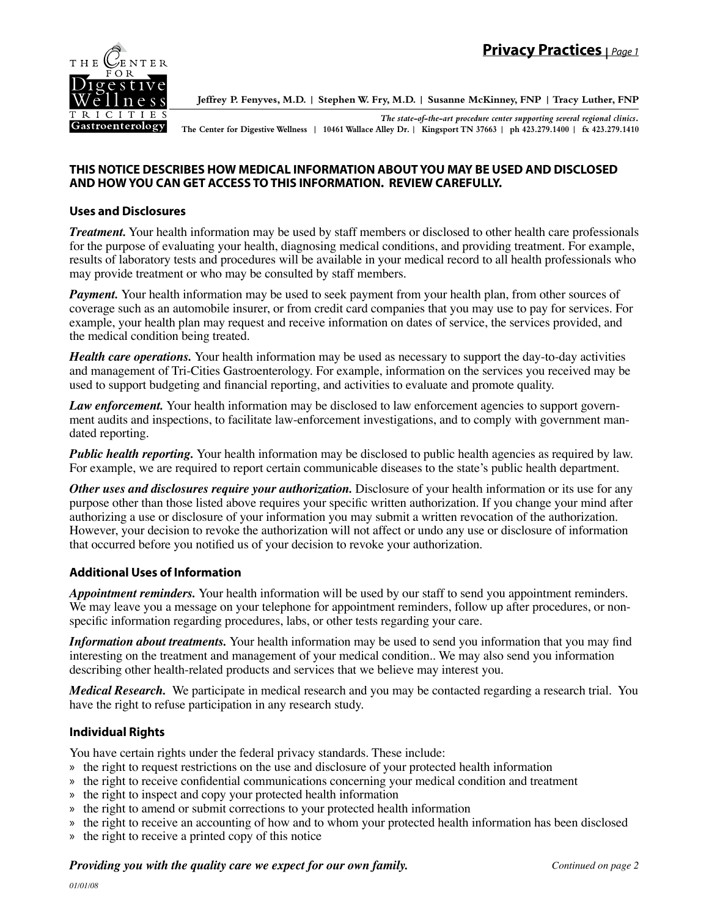

**Jeffrey P. Fenyves, M.D. | Stephen W. Fry, M.D. | Susanne McKinney, FNP | Tracy Luther, FNP**

*The state-of-the-art procedure center supporting several regional clinics.* **The Center for Digestive Wellness | 10461 Wallace Alley Dr. | Kingsport TN 37663 | ph 423.279.1400 | fx 423.279.1410**

## **THIS NOTICE DESCRIBES HOW MEDICAL INFORMATION ABOUT YOU MAY BE USED AND DISCLOSED AND HOW YOU CAN GET ACCESS TO THIS INFORMATION. REVIEW CAREFULLY.**

#### **Uses and Disclosures**

*Treatment.* Your health information may be used by staff members or disclosed to other health care professionals for the purpose of evaluating your health, diagnosing medical conditions, and providing treatment. For example, results of laboratory tests and procedures will be available in your medical record to all health professionals who may provide treatment or who may be consulted by staff members.

*Payment.* Your health information may be used to seek payment from your health plan, from other sources of coverage such as an automobile insurer, or from credit card companies that you may use to pay for services. For example, your health plan may request and receive information on dates of service, the services provided, and the medical condition being treated.

*Health care operations.* Your health information may be used as necessary to support the day-to-day activities and management of Tri-Cities Gastroenterology. For example, information on the services you received may be used to support budgeting and financial reporting, and activities to evaluate and promote quality.

*Law enforcement.* Your health information may be disclosed to law enforcement agencies to support government audits and inspections, to facilitate law-enforcement investigations, and to comply with government mandated reporting.

*Public health reporting.* Your health information may be disclosed to public health agencies as required by law. For example, we are required to report certain communicable diseases to the state's public health department.

*Other uses and disclosures require your authorization.* Disclosure of your health information or its use for any purpose other than those listed above requires your specific written authorization. If you change your mind after authorizing a use or disclosure of your information you may submit a written revocation of the authorization. However, your decision to revoke the authorization will not affect or undo any use or disclosure of information that occurred before you notified us of your decision to revoke your authorization.

# **Additional Uses of Information**

*Appointment reminders.* Your health information will be used by our staff to send you appointment reminders. We may leave you a message on your telephone for appointment reminders, follow up after procedures, or nonspecific information regarding procedures, labs, or other tests regarding your care.

*Information about treatments.* Your health information may be used to send you information that you may find interesting on the treatment and management of your medical condition.. We may also send you information describing other health-related products and services that we believe may interest you.

*Medical Research.* We participate in medical research and you may be contacted regarding a research trial. You have the right to refuse participation in any research study.

# **Individual Rights**

You have certain rights under the federal privacy standards. These include:

- » the right to request restrictions on the use and disclosure of your protected health information
- » the right to receive confidential communications concerning your medical condition and treatment
- » the right to inspect and copy your protected health information
- » the right to amend or submit corrections to your protected health information
- » the right to receive an accounting of how and to whom your protected health information has been disclosed
- » the right to receive a printed copy of this notice

#### **Providing you with the quality care we expect for our own family. Continued on page 2 Continued on page 2**